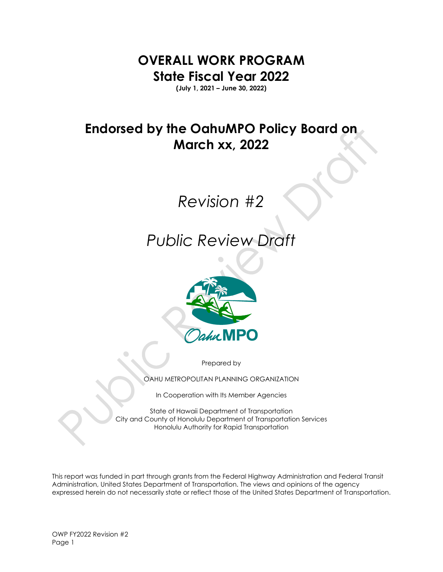**OVERALL WORK PROGRAM State Fiscal Year 2022**

**(July 1, 2021 – June 30, 2022)**

## **Endorsed by the OahuMPO Policy Board on March xx, 2022**

# *Revision #2*

## *Public Review Draft*



Prepared by

OAHU METROPOLITAN PLANNING ORGANIZATION

In Cooperation with Its Member Agencies

State of Hawaii Department of Transportation City and County of Honolulu Department of Transportation Services Honolulu Authority for Rapid Transportation

This report was funded in part through grants from the Federal Highway Administration and Federal Transit Administration, United States Department of Transportation. The views and opinions of the agency expressed herein do not necessarily state or reflect those of the United States Department of Transportation.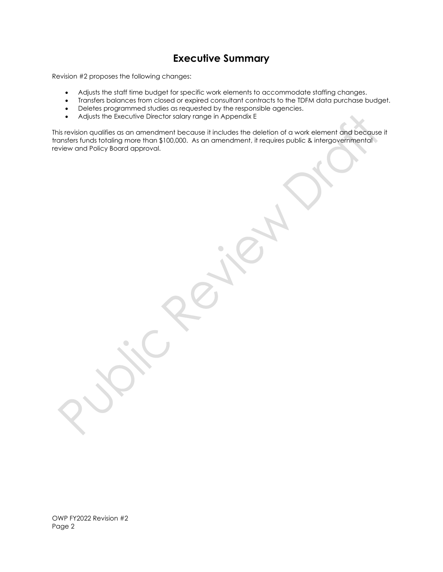### **Executive Summary**

Revision #2 proposes the following changes:

- Adjusts the staff time budget for specific work elements to accommodate staffing changes.
- Transfers balances from closed or expired consultant contracts to the TDFM data purchase budget.
- Deletes programmed studies as requested by the responsible agencies.
- Adjusts the Executive Director salary range in Appendix E

This revision qualifies as an amendment because it includes the deletion of a work element and because it transfers funds totaling more than \$100,000. As an amendment, it requires public & intergovernmental review and Policy Board approval.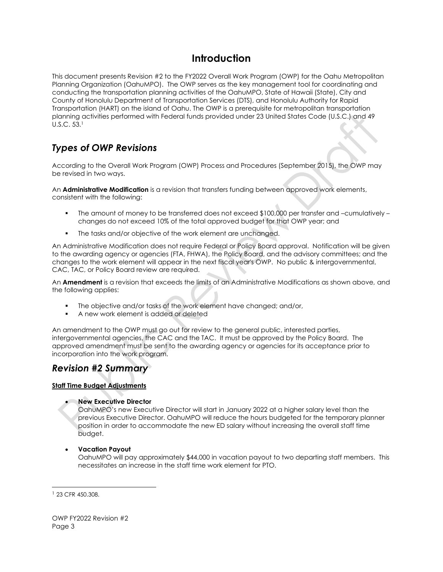### **Introduction**

This document presents Revision #2 to the FY2022 Overall Work Program (OWP) for the Oahu Metropolitan Planning Organization (OahuMPO). The OWP serves as the key management tool for coordinating and conducting the transportation planning activities of the OahuMPO, State of Hawaii (State), City and County of Honolulu Department of Transportation Services (DTS), and Honolulu Authority for Rapid Transportation (HART) on the island of Oahu. The OWP is a prerequisite for metropolitan transportation planning activities performed with Federal funds provided under 23 United States Code (U.S.C.) and 49 U.S.C. 53.<sup>1</sup>

### *Types of OWP Revisions*

According to the Overall Work Program (OWP) Process and Procedures (September 2015), the OWP may be revised in two ways.

An **Administrative Modification** is a revision that transfers funding between approved work elements, consistent with the following:

- The amount of money to be transferred does not exceed \$100,000 per transfer and –cumulatively changes do not exceed 10% of the total approved budget for that OWP year; and
- **•** The tasks and/or objective of the work element are unchanged.

An Administrative Modification does not require Federal or Policy Board approval. Notification will be given to the awarding agency or agencies (FTA, FHWA), the Policy Board, and the advisory committees; and the changes to the work element will appear in the next fiscal year's OWP. No public & intergovernmental, CAC, TAC, or Policy Board review are required.

An **Amendment** is a revision that exceeds the limits of an Administrative Modifications as shown above, and the following applies:

- The objective and/or tasks of the work element have changed; and/or,
- A new work element is added or deleted

An amendment to the OWP must go out for review to the general public, interested parties, intergovernmental agencies, the CAC and the TAC. It must be approved by the Policy Board. The approved amendment must be sent to the awarding agency or agencies for its acceptance prior to incorporation into the work program.

### *Revision #2 Summary*

#### **Staff Time Budget Adjustments**

• **New Executive Director**

OahuMPO's new Executive Director will start in January 2022 at a higher salary level than the previous Executive Director. OahuMPO will reduce the hours budgeted for the temporary planner position in order to accommodate the new ED salary without increasing the overall staff time budget.

• **Vacation Payout**

OahuMPO will pay approximately \$44,000 in vacation payout to two departing staff members. This necessitates an increase in the staff time work element for PTO.

<sup>1</sup> 23 CFR 450.308.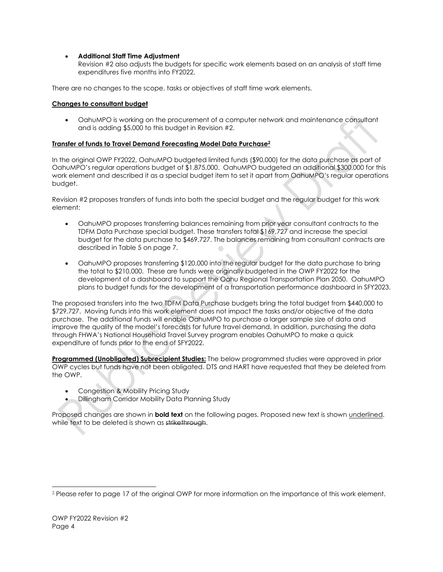#### • **Additional Staff Time Adjustment**

Revision #2 also adjusts the budgets for specific work elements based on an analysis of staff time expenditures five months into FY2022.

There are no changes to the scope, tasks or objectives of staff time work elements.

#### **Changes to consultant budget**

• OahuMPO is working on the procurement of a computer network and maintenance consultant and is adding \$5,000 to this budget in Revision #2.

#### **Transfer of funds to Travel Demand Forecasting Model Data Purchase<sup>2</sup>**

In the original OWP FY2022, OahuMPO budgeted limited funds (\$90,000) for the data purchase as part of OahuMPO's regular operations budget of \$1,875,000. OahuMPO budgeted an additional \$300,000 for this work element and described it as a special budget item to set it apart from OahuMPO's regular operations budget.

Revision #2 proposes transfers of funds into both the special budget and the regular budget for this work element:

- OahuMPO proposes transferring balances remaining from prior year consultant contracts to the TDFM Data Purchase special budget. These transfers total \$169,727 and increase the special budget for the data purchase to \$469,727. The balances remaining from consultant contracts are described in Table 5 on page 7.
- OahuMPO proposes transferring \$120,000 into the regular budget for the data purchase to bring the total to \$210,000. These are funds were originally budgeted in the OWP FY2022 for the development of a dashboard to support the Oahu Regional Transportation Plan 2050. OahuMPO plans to budget funds for the development of a transportation performance dashboard in SFY2023.

The proposed transfers into the two TDFM Data Purchase budgets bring the total budget from \$440,000 to \$729,727. Moving funds into this work element does not impact the tasks and/or objective of the data purchase. The additional funds will enable OahuMPO to purchase a larger sample size of data and improve the quality of the model's forecasts for future travel demand. In addition, purchasing the data through FHWA's National Household Travel Survey program enables OahuMPO to make a quick expenditure of funds prior to the end of SFY2022.

**Programmed (Unobligated) Subrecipient Studies:** The below programmed studies were approved in prior OWP cycles but funds have not been obligated. DTS and HART have requested that they be deleted from the OWP.

- Congestion & Mobility Pricing Study
- Dillingham Corridor Mobility Data Planning Study

Proposed changes are shown in **bold text** on the following pages. Proposed new text is shown underlined, while text to be deleted is shown as strikethrough.

<sup>&</sup>lt;sup>2</sup> Please refer to page 17 of the original OWP for more information on the importance of this work element.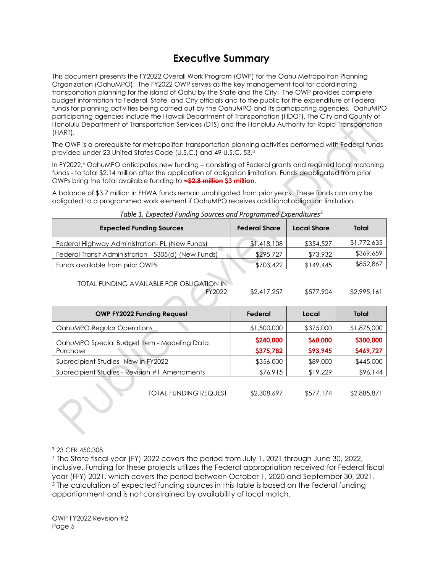### **Executive Summary**

This document presents the FY2022 Overall Work Program (OWP) for the Oahu Metropolitan Planning Organization (OahuMPO). The FY2022 OWP serves as the key management tool for coordinating transportation planning for the island of Oahu by the State and the City. The OWP provides complete budget information to Federal, State, and City officials and to the public for the expenditure of Federal funds for planning activities being carried out by the OahuMPO and its participating agencies. OahuMPO participating agencies include the Hawaii Department of Transportation (HDOT), The City and County of Honolulu Department of Transportation Services (DTS) and the Honolulu Authority for Rapid Transportation (HART).

The OWP is a prerequisite for metropolitan transportation planning activities performed with Federal funds provided under 23 United States Code (U.S.C.) and 49 U.S.C. 53.<sup>3</sup>

In FY2022,<sup>4</sup> OahuMPO anticipates new funding – consisting of Federal grants and required local matching funds - to total \$2.14 million after the application of obligation limitation. Funds deobligated from prior OWPs bring the total available funding to **~\$2.8 million \$3 million**.

A balance of \$3.7 million in FHWA funds remain unobligated from prior years. These funds can only be obligated to a programmed work element if OahuMPO receives additional obligation limitation.

| <b>Expected Funding Sources</b>                      | <b>Federal Share</b> | Local Share | Total       |
|------------------------------------------------------|----------------------|-------------|-------------|
| Federal Highway Administration- PL (New Funds)       | \$1,418,108          | \$354,527   | \$1,772,635 |
| Federal Transit Administration - 5305(d) (New Funds) | \$295,727            | \$73,932    | \$369,659   |
| Funds available from prior OWPs                      | \$703,422            | \$149,445   | \$852,867   |

#### *Table 1. Expected Funding Sources and Programmed Expenditures<sup>5</sup>*

TOTAL FUNDING AVAILABLE FOR OBLIGATION IN

FY2022 \$2,417,257 \$577,904 \$2,995,161

| <b>OWP FY2022 Funding Request</b>             | Federal     | Local     | Total       |
|-----------------------------------------------|-------------|-----------|-------------|
| OahuMPO Regular Operations                    | \$1,500,000 | \$375,000 | \$1,875,000 |
| OahuMPO Special Budget Item - Modeling Data   | \$240,000   | \$60,000  | \$300,000   |
| Purchase                                      | \$375,782   | \$93,945  | \$469,727   |
| Subrecipient Studies-New in FY2022            | \$356,000   | \$89,000  | \$445,000   |
| Subrecipient Studies - Revision #1 Amendments | \$76,915    | \$19,229  | \$96,144    |
|                                               |             |           |             |

TOTAL FUNDING REQUEST \$2,308,697 \$577,174 \$2,885,871

<sup>3</sup> 23 CFR 450.308.

<sup>4</sup> The State fiscal year (FY) 2022 covers the period from July 1, 2021 through June 30, 2022, inclusive. Funding for these projects utilizes the Federal appropriation received for Federal fiscal year (FFY) 2021, which covers the period between October 1, 2020 and September 30, 2021. <sup>5</sup> The calculation of expected funding sources in this table is based on the federal funding apportionment and is not constrained by availability of local match.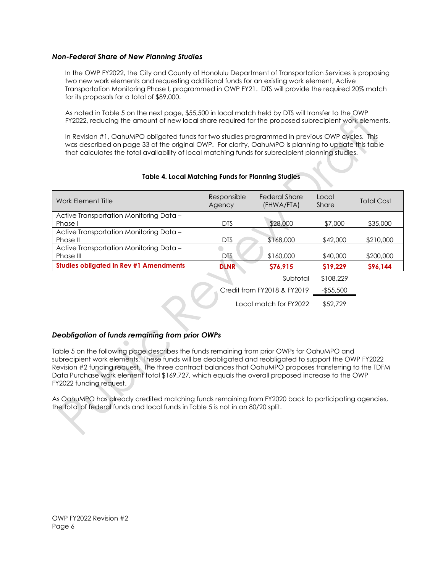#### *Non-Federal Share of New Planning Studies*

In the OWP FY2022, the City and County of Honolulu Department of Transportation Services is proposing two new work elements and requesting additional funds for an existing work element, Active Transportation Monitoring Phase I, programmed in OWP FY21. DTS will provide the required 20% match for its proposals for a total of \$89,000.

As noted in Table 5 on the next page, \$55,500 in local match held by DTS will transfer to the OWP FY2022, reducing the amount of new local share required for the proposed subrecipient work elements.

In Revision #1, OahuMPO obligated funds for two studies programmed in previous OWP cycles. This was described on page 33 of the original OWP. For clarity, OahuMPO is planning to update this table that calculates the total availability of local matching funds for subrecipient planning studies.

| Work Element Title                                   | Responsible<br>Agency | <b>Federal Share</b><br>(FHWA/FTA) | Local<br>Share | <b>Total Cost</b> |
|------------------------------------------------------|-----------------------|------------------------------------|----------------|-------------------|
| Active Transportation Monitoring Data -<br>Phase I   | <b>DTS</b>            | \$28,000                           | \$7,000        | \$35,000          |
| Active Transportation Monitoring Data -<br>Phase II  | <b>DTS</b>            | \$168,000                          | \$42,000       | \$210,000         |
| Active Transportation Monitoring Data -<br>Phase III | <b>DTS</b>            | \$160,000                          | \$40,000       | \$200,000         |
| <b>Studies obligated in Rev #1 Amendments</b>        | <b>DLNR</b>           | \$76,915                           | \$19,229       | \$96,144          |
|                                                      |                       | Subtatal                           | \$108,229      |                   |

#### **Table 4. Local Matching Funds for Planning Studies**

Subtotal \$108,229 Credit from FY2018 & FY2019 -\$55,500 Local match for FY2022 \$52,729

#### *Deobligation of funds remaining from prior OWPs*

Table 5 on the following page describes the funds remaining from prior OWPs for OahuMPO and subrecipient work elements. These funds will be deobligated and reobligated to support the OWP FY2022 Revision #2 funding request. The three contract balances that OahuMPO proposes transferring to the TDFM Data Purchase work element total \$169,727, which equals the overall proposed increase to the OWP FY2022 funding request.

As OahuMPO has already credited matching funds remaining from FY2020 back to participating agencies, the total of federal funds and local funds in Table 5 is not in an 80/20 split.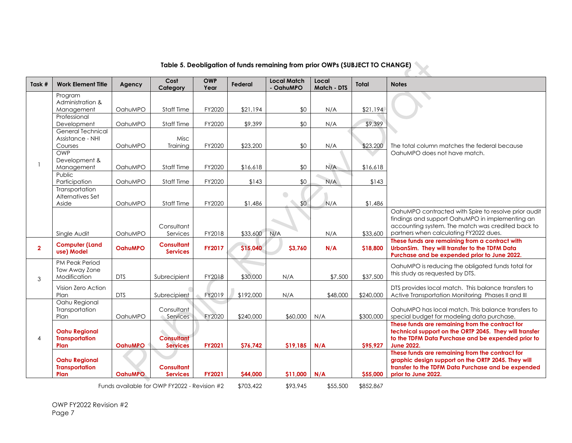| Task #         | <b>Work Element Title</b>                             | Agency         | Cost<br>Category                             | <b>OWP</b><br>Year | Federal   | <b>Local Match</b><br>- OahuMPO | Local<br>Match - DTS | Total     | <b>Notes</b>                                                                                                                                                                         |
|----------------|-------------------------------------------------------|----------------|----------------------------------------------|--------------------|-----------|---------------------------------|----------------------|-----------|--------------------------------------------------------------------------------------------------------------------------------------------------------------------------------------|
|                | Program                                               |                |                                              |                    |           |                                 |                      |           |                                                                                                                                                                                      |
|                | Administration &                                      | OahuMPO        |                                              | FY2020             | \$21,194  | \$0                             | N/A                  |           |                                                                                                                                                                                      |
|                | Management<br>Professional                            |                | Staff Time                                   |                    |           |                                 |                      | \$21,194  |                                                                                                                                                                                      |
|                | Development                                           | OahuMPO        | Staff Time                                   | FY2020             | \$9,399   | \$0                             | N/A                  | \$9,399   |                                                                                                                                                                                      |
|                | <b>General Technical</b>                              |                |                                              |                    |           |                                 |                      |           |                                                                                                                                                                                      |
|                | Assistance - NHI<br>Courses                           | OahuMPO        | Misc<br>Training                             | FY2020             | \$23,200  | \$0                             | N/A                  | \$23,200  | The total column matches the federal because                                                                                                                                         |
|                | OWP                                                   |                |                                              |                    |           |                                 |                      |           | OahuMPO does not have match.                                                                                                                                                         |
|                | Development &                                         |                |                                              |                    |           |                                 |                      |           |                                                                                                                                                                                      |
|                | Management                                            | OahuMPO        | Staff Time                                   | FY2020             | \$16,618  | \$0                             | N/A                  | \$16,618  |                                                                                                                                                                                      |
|                | Public                                                |                |                                              |                    |           |                                 |                      |           |                                                                                                                                                                                      |
|                | Participation                                         | OahuMPO        | <b>Staff Time</b>                            | FY2020             | \$143     | \$0                             | N/A                  | \$143     |                                                                                                                                                                                      |
|                | Transportation<br>Alternatives Set                    |                |                                              |                    |           | $\bigcirc$                      |                      |           |                                                                                                                                                                                      |
|                | Aside                                                 | OahuMPO        | <b>Staff Time</b>                            | FY2020             | \$1,486   | \$0                             | N/A                  | \$1,486   |                                                                                                                                                                                      |
|                |                                                       |                | Consultant                                   |                    |           |                                 |                      |           | OahuMPO contracted with Spire to resolve prior audit<br>findings and support OahuMPO in implementing an<br>accounting system. The match was credited back to                         |
|                | Single Audit                                          | OahuMPO        | Services                                     | FY2018             | \$33,600  | N/A                             | N/A                  | \$33,600  | partners when calculating FY2022 dues.                                                                                                                                               |
| $\overline{2}$ | <b>Computer (Land</b><br>use) Model                   | <b>OahuMPO</b> | <b>Consultant</b><br><b>Services</b>         | FY2017             | \$15,040  | \$3,760                         | N/A                  | \$18,800  | These funds are remaining from a contract with<br>UrbanSim. They will transfer to the TDFM Data<br>Purchase and be expended prior to June 2022.                                      |
|                | PM Peak Period                                        |                |                                              |                    |           |                                 |                      |           | OahuMPO is reducing the obligated funds total for                                                                                                                                    |
| 3              | Tow Away Zone<br>Modification                         | <b>DTS</b>     | Subrecipient                                 | FY2018             | \$30,000  | N/A                             | \$7,500              | \$37,500  | this study as requested by DTS.                                                                                                                                                      |
|                | Vision Zero Action                                    |                |                                              |                    |           |                                 |                      |           | DTS provides local match. This balance transfers to                                                                                                                                  |
|                | Plan                                                  | <b>DTS</b>     | Subrecipient                                 | FY2019             | \$192,000 | N/A                             | \$48,000             | \$240,000 | Active Transportation Monitoring Phases II and III                                                                                                                                   |
|                | Oahu Regional<br>Transportation                       |                | Consultant                                   |                    |           |                                 |                      |           | OghuMPO has local match. This balance transfers to                                                                                                                                   |
|                | Plan                                                  | OahuMPO        | Services                                     | FY2020             | \$240,000 | \$60,000                        | N/A                  | \$300,000 | special budget for modeling data purchase.                                                                                                                                           |
| $\overline{4}$ | <b>Oahu Regional</b><br><b>Transportation</b><br>Plan | <b>OghuMPO</b> | <b>Consultant</b><br><b>Services</b>         | FY2021             | \$76,742  | \$19,185                        | N/A                  | \$95,927  | These funds are remaining from the contract for<br>technical support on the ORTP 2045. They will transfer<br>to the TDFM Data Purchase and be expended prior to<br><b>June 2022.</b> |
|                | <b>Oahu Regional</b><br><b>Transportation</b><br>Plan | <b>OahuMPO</b> | <b>Consultant</b><br><b>Services</b>         | FY2021             | \$44,000  | \$11,000                        | N/A                  | \$55,000  | These funds are remaining from the contract for<br>graphic design support on the ORTP 2045. They will<br>transfer to the TDFM Data Purchase and be expended<br>prior to June 2022.   |
|                |                                                       |                |                                              |                    |           |                                 |                      |           |                                                                                                                                                                                      |
|                |                                                       |                | Funds available for OWP FY2022 - Revision #2 |                    | \$703,422 | \$93,945                        | \$55,500             | \$852,867 |                                                                                                                                                                                      |

## **Table 5. Deobligation of funds remaining from prior OWPs (SUBJECT TO CHANGE)**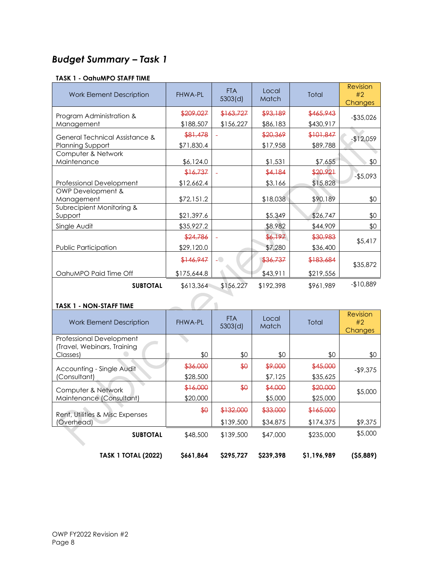### *Budget Summary – Task 1*

#### **TASK 1 - OahuMPO STAFF TIME**

| <b>Work Element Description</b>   | <b>FHWA-PL</b> | <b>FTA</b><br>5303(d) | Local<br>Match | Total     | Revision<br>#2<br>Changes |
|-----------------------------------|----------------|-----------------------|----------------|-----------|---------------------------|
| Program Administration &          | \$209,027      | \$163,727             | \$93,189       | \$465,943 | $-$ \$35,026              |
| Management                        | \$188,507      | \$156,227             | \$86,183       | \$430,917 |                           |
| General Technical Assistance &    | \$81,478       |                       | \$20,369       | \$101,847 | $-$12,059$                |
| Planning Support                  | \$71,830.4     |                       | \$17,958       | \$89,788  |                           |
| Computer & Network<br>Maintenance | \$6,124.0      |                       | \$1,531        | \$7,655   | \$0                       |
|                                   |                |                       |                |           |                           |
|                                   | \$16,737       | $\blacksquare$        | \$4,184        | \$20,921  | $-$5,093$                 |
| Professional Development          | \$12,662.4     |                       | \$3,166        | \$15,828  |                           |
| OWP Development &<br>Management   | \$72,151.2     |                       | \$18,038       | \$90,189  | \$0                       |
| Subrecipient Monitoring &         |                |                       |                |           |                           |
| Support                           | \$21,397.6     |                       | \$5,349        | \$26,747  | \$0                       |
| Single Audit                      | \$35,927.2     |                       | \$8,982        | \$44,909  | \$0                       |
|                                   | \$24,786       |                       | \$6,197        | \$30,983  | \$5,417                   |
| Public Participation              | \$29,120.0     |                       | \$7,280        | \$36,400  |                           |
|                                   | \$146,947      | $\overline{a}$        | \$36,737       | \$183,684 | \$35,872                  |
| OahuMPO Paid Time Off             | \$175,644.8    |                       | \$43,911       | \$219,556 |                           |
| <b>SUBTOTAL</b>                   | \$613,364      | \$156,227             | \$192,398      | \$961,989 | $-$10,889$                |
| <b>TASK 1 - NON-STAFF TIME</b>    |                |                       |                |           |                           |

| <b>Work Element Description</b>         | <b>FHWA-PL</b> | <b>FTA</b><br>5303(d) | Local<br><b>Match</b> | Total       | <b>Revision</b><br>#2<br><b>Changes</b> |
|-----------------------------------------|----------------|-----------------------|-----------------------|-------------|-----------------------------------------|
| Professional Development                |                |                       |                       |             |                                         |
| (Travel, Webinars, Training<br>Classes) | \$0            | \$0                   | \$0                   | \$0         | \$0                                     |
| Accounting - Single Audit               | \$36,000       | \$0                   | \$9,000               | \$45,000    | $-$ \$9,375                             |
| (Consultant)                            | \$28,500       |                       | \$7,125               | \$35,625    |                                         |
| Computer & Network                      | \$16,000       | $\bigoplus$           | \$4,000               | \$20,000    | \$5,000                                 |
| Maintenance (Consultant)                | \$20,000       |                       | \$5,000               | \$25,000    |                                         |
| Rent, Utilities & Misc Expenses         | $\frac{1}{2}$  | \$132,000             | \$33,000              | \$165,000   |                                         |
| (Overhead)                              |                | \$139,500             | \$34,875              | \$174,375   | \$9,375                                 |
| <b>SUBTOTAL</b>                         | \$48,500       | \$139,500             | \$47,000              | \$235,000   | \$5,000                                 |
| <b>TASK 1 TOTAL (2022)</b>              | \$661,864      | \$295.727             | S239.398              | \$1,196,989 | (55,889)                                |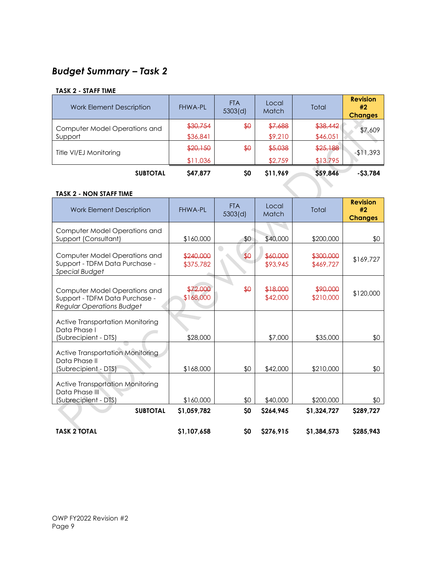## *Budget Summary – Task 2*

#### **TASK 2 - STAFF TIME**

| <b>Work Element Description</b> | <b>FHWA-PL</b> | <b>FTA</b><br>5303(d) | Local<br><b>Match</b> | Total    | <b>Revision</b><br>#2<br><b>Changes</b> |
|---------------------------------|----------------|-----------------------|-----------------------|----------|-----------------------------------------|
| Computer Model Operations and   | \$30,754       | \$0                   | \$7,688               | \$38,442 | \$7,609                                 |
| Support                         | \$36,841       |                       | \$9,210               | \$46,051 |                                         |
| Title VI/EJ Monitoring          | \$20,150       | $\frac{1}{2}$         | \$5,038               | \$25,188 | $-11,393$                               |
|                                 | \$11,036       |                       | \$2,759               | \$13,795 |                                         |
| <b>SUBTOTAL</b>                 | <b>S47.877</b> | \$0                   | \$11,969              | \$59,846 | $-53,784$                               |

#### **TASK 2 - NON STAFF TIME**

| <b>Work Element Description</b>                                                                     | <b>FHWA-PL</b>             | <b>FTA</b><br>5303(d) | Local<br>Match         | <b>Total</b>               | <b>Revision</b><br>#2<br><b>Changes</b> |
|-----------------------------------------------------------------------------------------------------|----------------------------|-----------------------|------------------------|----------------------------|-----------------------------------------|
| Computer Model Operations and<br>Support (Consultant)                                               | \$160,000                  | \$0                   | \$40,000               | \$200,000                  | \$0                                     |
| Computer Model Operations and<br>Support - TDFM Data Purchase -<br><b>Special Budget</b>            | \$240,000<br>\$375,782     | $\frac{1}{2}$         | \$60,000<br>\$93,945   | \$300,000<br>\$469,727     | \$169,727                               |
| Computer Model Operations and<br>Support - TDFM Data Purchase -<br><b>Regular Operations Budget</b> | \$72,000<br>\$168,000      | $\bigoplus$           | \$18,000<br>\$42,000   | \$90,000<br>\$210,000      | \$120,000                               |
| <b>Active Transportation Monitoring</b><br>Data Phase I<br>(Subrecipient - DTS)                     | \$28,000                   |                       | \$7,000                | \$35,000                   | \$0                                     |
| <b>Active Transportation Monitoring</b><br>Data Phase II<br>(Subrecipient - DTS)                    | \$168,000                  | \$0                   | \$42,000               | \$210,000                  | \$0                                     |
| <b>Active Transportation Monitoring</b><br>Data Phase III<br>(Subrecipient - DTS)                   | \$160,000                  | \$0                   | \$40,000               | \$200,000                  | \$0                                     |
| <b>SUBTOTAL</b><br><b>TASK 2 TOTAL</b>                                                              | \$1,059,782<br>\$1,107,658 | \$0<br>\$0            | \$264,945<br>\$276,915 | \$1,324,727<br>\$1,384,573 | \$289,727<br>\$285,943                  |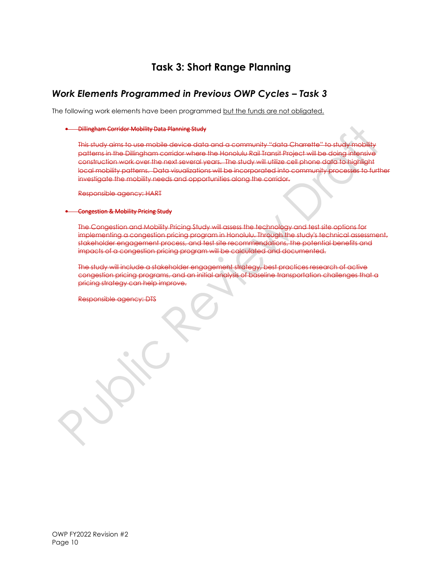### **Task 3: Short Range Planning**

### *Work Elements Programmed in Previous OWP Cycles - Task 3*

The following work elements have been programmed but the funds are not obligated.

#### • Dillingham Corridor Mobility Data Planning Study

This study aims to use mobile device data and a community "data Charrette" to study patterns in the Dillingham corridor where the Honolulu Rail Transit Project will be doing intensive construction work over the next several years. The study will utilize cell phone data to highlight local mobility patterns. Data visualizations will be incorporated into community processes to further investigate the mobility needs and opportunities along the corridor.

Responsible agency: HART

#### • Congestion & Mobility Pricing Study

The Congestion and Mobility Pricing Study will assess the technology and test site options for implementing a congestion pricing program in Honolulu. Through the study's technical assessment, stakeholder engagement process, and test site recommendations, the potential benefits and impacts of a congestion pricing program will be calculated and documented.

The study will include a stakeholder engagement strategy, best practices research of active congestion pricing programs, and an initial analysis of baseline transportation challenges that a pricing strategy can help improve.

Responsible agency: DTS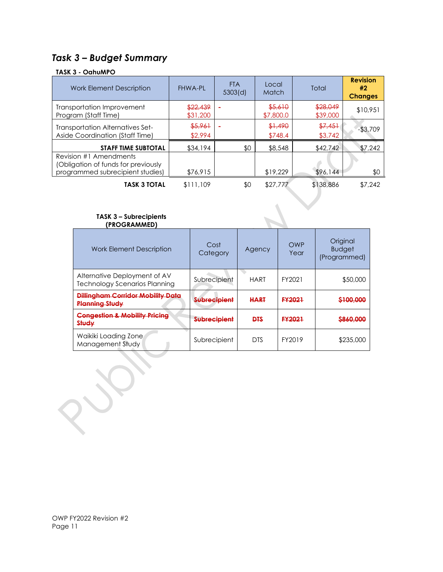### *Task 3 – Budget Summary*

### **TASK 3 - OahuMPO**

| <b>Work Element Description</b>                                                                   | <b>FHWA-PL</b>       | <b>FTA</b><br>5303(d) | Local<br>Match       | Total                | <b>Revision</b><br>#2<br><b>Changes</b> |
|---------------------------------------------------------------------------------------------------|----------------------|-----------------------|----------------------|----------------------|-----------------------------------------|
| Transportation Improvement<br>Program (Staff Time)                                                | \$22,439<br>\$31,200 |                       | \$5,610<br>\$7,800.0 | \$28,049<br>\$39,000 | \$10,951                                |
| <b>Transportation Alternatives Set-</b><br>Aside Coordination (Staff Time)                        | \$5,961<br>\$2,994   |                       | \$1,490<br>\$748.4   | \$7,451<br>\$3,742   | $-53,709$                               |
| <b>STAFF TIME SUBTOTAL</b>                                                                        | \$34,194             | \$0                   | \$8,548              | \$42,742             | \$7,242                                 |
| Revision #1 Amendments<br>(Obligation of funds for previously<br>programmed subrecipient studies) | \$76,915             |                       | \$19,229             | \$96,144             | \$0                                     |
| <b>TASK 3 TOTAL</b>                                                                               | \$111,109            | \$0                   | \$27,777             | \$138,886            | \$7,242                                 |

#### **TASK 3 – Subrecipients (PROGRAMMED)**

| <b>Work Element Description</b>                                      | Cost<br>Category        | Agency      | OWP<br>Year   | Original<br><b>Budget</b><br>(Programmed) |
|----------------------------------------------------------------------|-------------------------|-------------|---------------|-------------------------------------------|
| Alternative Deployment of AV<br><b>Technology Scenarios Planning</b> | Subrecipient            | <b>HART</b> | FY2021        | \$50,000                                  |
| <b>Dillingham Corridor Mobility Data</b><br><b>Planning Study</b>    | <del>Subrecipient</del> | <b>HART</b> | <b>FY2021</b> | <del>\$100,000</del>                      |
| <b>Congestion &amp; Mobility Pricing</b><br>Study                    | <b>Subrecipient</b>     | <b>DTS</b>  | <b>FY2021</b> | <del>\$860,000</del>                      |
| Waikiki Loading Zone<br>Management Study                             | Subrecipient            | <b>DTS</b>  | FY2019        | \$235,000                                 |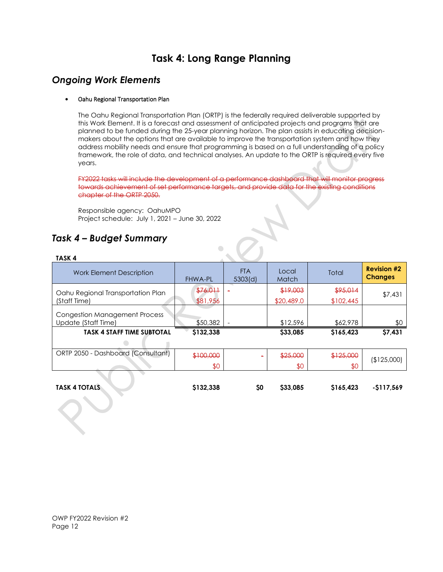### **Task 4: Long Range Planning**

### *Ongoing Work Elements*

#### • Oahu Regional Transportation Plan

The Oahu Regional Transportation Plan (ORTP) is the federally required deliverable supported by this Work Element. It is a forecast and assessment of anticipated projects and programs that are planned to be funded during the 25-year planning horizon. The plan assists in educating decisionmakers about the options that are available to improve the transportation system and how they address mobility needs and ensure that programming is based on a full understanding of a policy framework, the role of data, and technical analyses. An update to the ORTP is required every five years.

FY2022 tasks will include the development of a performance dashboard that will monitor progress towards achievement of set performance targets, and provide data for the existing conditions chapter of the ORTP 2050.

Responsible agency: OahuMPO Project schedule: July 1, 2021 – June 30, 2022

### *Task 4 – Budget Summary*

### **TASK 4**

| Work Element Description                                    | <b>FHWA-PL</b>       | <b>FTA</b><br>5303(d) | Local<br>Match         | Total                 | <b>Revision #2</b><br><b>Changes</b> |
|-------------------------------------------------------------|----------------------|-----------------------|------------------------|-----------------------|--------------------------------------|
| Oahu Regional Transportation Plan<br>(Staff Time)           | \$76,011<br>\$81,956 |                       | \$19,003<br>\$20,489.0 | \$95,014<br>\$102,445 | \$7,431                              |
| <b>Congestion Management Process</b><br>Update (Staff Time) | \$50,382             |                       | \$12,596               | \$62,978              | \$0                                  |
| <b>TASK 4 STAFF TIME SUBTOTAL</b>                           | \$132.338            |                       | \$33,085               | \$165.423             | \$7,431                              |
| ORTP 2050 - Dashboard (Consultant)                          | \$100,000            |                       | \$25,000               | \$125,000             | (\$125,000)                          |
|                                                             | \$0                  |                       | \$0                    | \$0                   |                                      |

| <b>TASK 4 TOTALS</b> | \$132,338 | <b>SO</b> | \$33,085 | \$165,423 | -\$117,569 |
|----------------------|-----------|-----------|----------|-----------|------------|
|                      |           |           |          |           |            |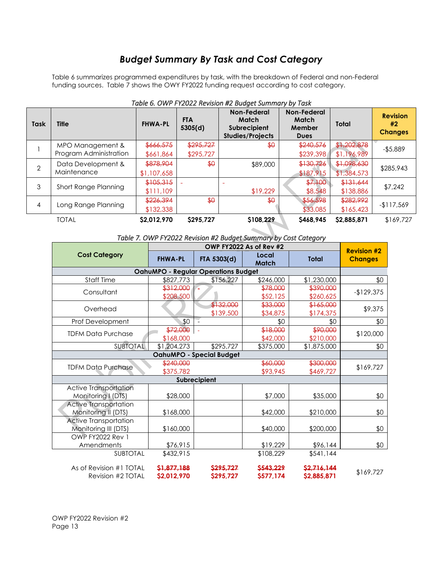### *Budget Summary By Task and Cost Category*

Table 6 summarizes programmed expenditures by task, with the breakdown of Federal and non-Federal funding sources. Table 7 shows the OWY FY2022 funding request according to cost category.

| Table 6. OWP FTZ022 Revision #2 Budget Summary by Task |                                            |                          |                        |                                                                 |                                               |                            |                                         |
|--------------------------------------------------------|--------------------------------------------|--------------------------|------------------------|-----------------------------------------------------------------|-----------------------------------------------|----------------------------|-----------------------------------------|
| <b>Task</b>                                            | <b>Title</b>                               | <b>FHWA-PL</b>           | <b>FTA</b><br>5305(d)  | Non-Federal<br>Match<br>Subrecipient<br><b>Studies/Projects</b> | Non-Federal<br>Match<br>Member<br><b>Dues</b> | <b>Total</b>               | <b>Revision</b><br>#2<br><b>Changes</b> |
|                                                        | MPO Management &<br>Program Administration | \$666,575<br>\$661,864   | \$295,727<br>\$295,727 | $\bigoplus$                                                     | \$240,576<br>\$239,398                        | \$1,202,878<br>\$1,196,989 | $-$ \$5,889                             |
| $\overline{2}$                                         | Data Development &<br>Maintenance          | \$878,904<br>\$1,107,658 | \$0                    | \$89,000                                                        | \$130,726<br>\$187,915                        | \$1,098,630<br>\$1,384,573 | \$285,943                               |
| 3                                                      | Short Range Planning                       | \$105,315<br>\$111.109   |                        | \$19,229                                                        | \$7,100<br>\$8,548                            | \$131,644<br>\$138,886     | \$7,242                                 |
| 4                                                      | Long Range Planning                        | \$226,394<br>\$132,338   | $\bigoplus$            | $\bigoplus$                                                     | \$56,598<br>\$33,085                          | \$282,992<br>\$165,423     | $-117,569$                              |
|                                                        | <b>TOTAL</b>                               | \$2,012,970              | \$295,727              | \$108.229                                                       | S468.945                                      | \$2,885,871                | \$169,727                               |

### *Table 6. OWP FY2022 Revision #2 Budget Summary by Task*

### *Table 7. OWP FY2022 Revision #2 Budget Summary by Cost Category*

|                                            |                | <b>Revision #2</b> |                |              |                |  |  |
|--------------------------------------------|----------------|--------------------|----------------|--------------|----------------|--|--|
| <b>Cost Category</b>                       | <b>FHWA-PL</b> | FTA 5303(d)        | Local<br>Match | <b>Total</b> | <b>Changes</b> |  |  |
| <b>OahuMPO - Regular Operations Budget</b> |                |                    |                |              |                |  |  |
| Staff Time                                 | \$827,773      | \$156,227          | \$246,000      | \$1,230,000  | \$0            |  |  |
| Consultant                                 | \$312,000      |                    | \$78,000       | \$390,000    | $-129,375$     |  |  |
|                                            | \$208,500      |                    | \$52,125       | \$260,625    |                |  |  |
| Overhead                                   |                | \$132,000          | \$33,000       | \$165,000    | \$9,375        |  |  |
|                                            |                | \$139,500          | \$34,875       | \$174,375    |                |  |  |
| Prof Development                           | \$0            |                    | \$0            | \$0          | \$0            |  |  |
| <b>TDFM Data Purchase</b>                  | \$72,000       |                    | \$18,000       | \$90,000     | \$120,000      |  |  |
|                                            | \$168,000      |                    | \$42,000       | \$210,000    |                |  |  |
| <b>SUBTOTAL</b>                            | \$1,204,273    | \$295,727          | \$375,000      | \$1,875,000  | \$0            |  |  |
| OahuMPO - Special Budget                   |                |                    |                |              |                |  |  |
| <b>TDFM Data Purchase</b>                  | \$240,000      |                    | \$60,000       | \$300,000    | \$169,727      |  |  |
|                                            | \$375,782      |                    | \$93,945       | \$469,727    |                |  |  |
| Subrecipient                               |                |                    |                |              |                |  |  |
| Active Transportation                      |                |                    |                |              |                |  |  |
| Monitoring I (DTS)                         | \$28,000       |                    | \$7,000        | \$35,000     | \$0            |  |  |
| <b>Active Transportation</b>               |                |                    |                |              |                |  |  |
| Monitoring II (DTS)                        | \$168,000      |                    | \$42,000       | \$210,000    | \$0            |  |  |
| <b>Active Transportation</b>               |                |                    |                |              |                |  |  |
| Monitoring III (DTS)                       | \$160,000      |                    | \$40,000       | \$200,000    | \$0            |  |  |
| <b>OWP FY2022 Rev 1</b>                    |                |                    |                |              |                |  |  |
| Amendments                                 | \$76,915       |                    | \$19,229       | \$96,144     | \$0            |  |  |
| <b>SUBTOTAL</b>                            | \$432,915      |                    | \$108,229      | \$541,144    |                |  |  |
| As of Revision #1 TOTAL                    | \$1.877.188    | S295.727           | \$543.229      | \$2,716,144  | \$169,727      |  |  |
| Revision #2 TOTAL                          | \$2,012,970    | \$295,727          | \$577,174      | \$2,885,871  |                |  |  |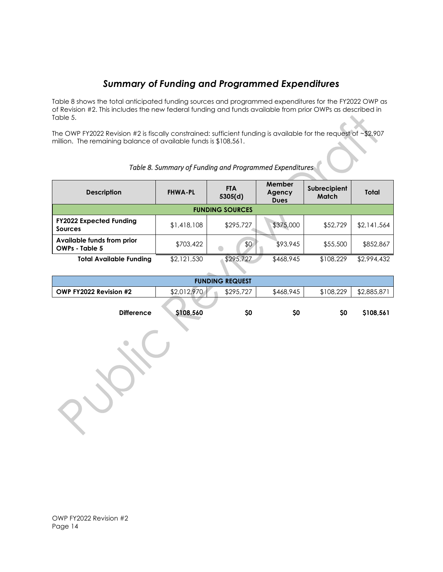### *Summary of Funding and Programmed Expenditures*

Table 8 shows the total anticipated funding sources and programmed expenditures for the FY2022 OWP as of Revision #2. This includes the new federal funding and funds available from prior OWPs as described in Table 5.

The OWP FY2022 Revision #2 is fiscally constrained: sufficient funding is available for the request of ~\$2.907 million. The remaining balance of available funds is \$108,561.

| <b>Description</b>                                  | <b>FHWA-PL</b> | <b>FTA</b><br>5305(d) | Member<br>Agency<br><b>Dues</b> | Subrecipient<br><b>Match</b> | Total       |  |  |
|-----------------------------------------------------|----------------|-----------------------|---------------------------------|------------------------------|-------------|--|--|
|                                                     |                |                       |                                 |                              |             |  |  |
| <b>FUNDING SOURCES</b>                              |                |                       |                                 |                              |             |  |  |
| <b>FY2022 Expected Funding</b><br><b>Sources</b>    | \$1,418,108    | \$295,727             | \$375,000                       | \$52,729                     | \$2,141,564 |  |  |
| Available funds from prior<br><b>OWPs - Table 5</b> | \$703,422      | \$0                   | \$93,945                        | \$55,500                     | \$852,867   |  |  |
| <b>Total Available Funding</b>                      | \$2,121,530    | \$295,727             | \$468,945                       | \$108,229                    | \$2,994,432 |  |  |

### *Table 8. Summary of Funding and Programmed Expenditures*

| <b>FUNDING REQUEST</b> |             |           |           |           |            |  |  |
|------------------------|-------------|-----------|-----------|-----------|------------|--|--|
| OWP FY2022 Revision #2 | \$2,012,970 | \$295,727 | \$468,945 | \$108,229 | \$2,885,87 |  |  |
| <b>Difference</b>      | \$108,560   | SC        | S0        | <b>SO</b> | \$108,561  |  |  |

OWP FY2022 Revision #2 Page 14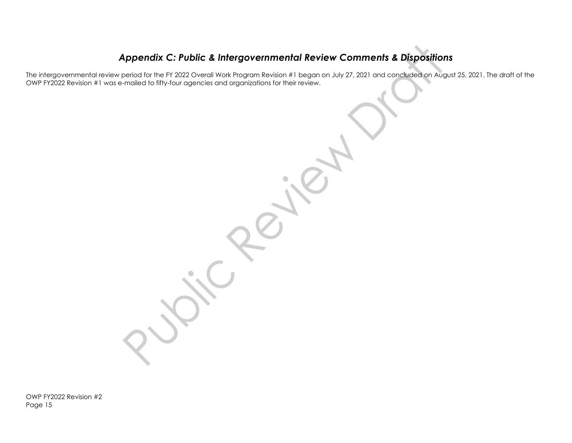### *Appendix C: Public & Intergovernmental Review Comments & Dispositions*

The intergovernmental review period for the FY 2022 Overall Work Program Revision #1 began on July 27, 2021 and concluded on August 25, 2021. The draft of the OWP FY2022 Revision #1 was e-mailed to fifty-four agencies and organizations for their review.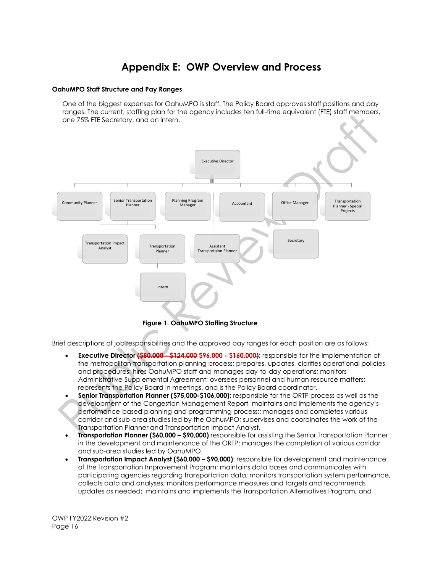### **Appendix E: OWP Overview and Process**

#### **OahuMPO Staff Structure and Pay Ranges**

One of the biggest expenses for OahuMPO is staff. The Policy Board approves staff positions and pay ranges. The current, staffing plan for the agency includes ten full-time equivalent (FTE) staff members, one 75% FTE Secretary, and an intern.



 **Figure 1. OahuMPO Staffing Structure**

Brief descriptions of job responsibilities and the approved pay ranges for each position are as follows:

- **Executive Director (\$80,000 - \$124,000 \$96,000 - \$160,000)**: responsible for the implementation of the metropolitan transportation planning process; prepares, updates, clarifies operational policies and procedures; hires OahuMPO staff and manages day-to-day operations; monitors Administrative Supplemental Agreement; oversees personnel and human resource matters; represents the Policy Board in meetings, and is the Policy Board coordinator.
- **Senior Transportation Planner (\$75,000-\$106,000)**: responsible for the ORTP process as well as the development of the Congestion Management Report maintains and implements the agency's performance-based planning and programming process;; manages and completes various corridor and sub-area studies led by the OahuMPO; supervises and coordinates the work of the Transportation Planner and Transportation Impact Analyst.
- **Transportation Planner (\$60,000 – \$90,000)** responsible for assisting the Senior Transportation Planner in the development and maintenance of the ORTP; manages the completion of various corridor and sub-area studies led by OahuMPO.
- **Transportation Impact Analyst (\$60,000 – \$90,000)**: responsible for development and maintenance of the Transportation Improvement Program; maintains data bases and communicates with participating agencies regarding transportation data; monitors transportation system performance, collects data and analyses; monitors performance measures and targets and recommends updates as needed; maintains and implements the Transportation Alternatives Program, and